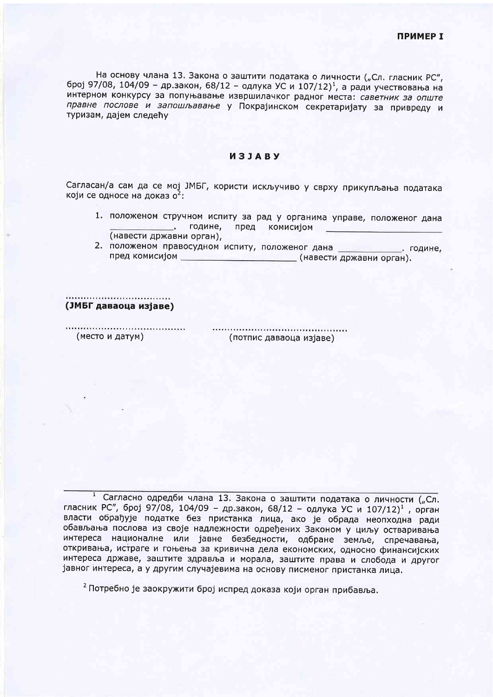На основу члана 13. Закона о заштити података о личности ("Сл. гласник РС", број 97/08, 104/09 - др.закон, 68/12 - одлука УС и 107/12)<sup>1</sup>, а ради учествовања на интерном конкурсу за попуњавање извршилачког радног места: саветник за опште правне послове и запошљавање у Покрајинском секретаријату за привреду и туризам, дајем следећу

## *M3JABY*

Сагласан/а сам да се мој ЈМБГ, користи искључиво у сврху прикупљања података који се односе на доказ о<sup>2</sup>:

- 1. положеном стручном испиту за рад у органима управе, положеног дана подине, пред комисијом (навести државни орган),
- 2. положеном правосудном испиту, положеног дана \_\_\_\_\_\_\_\_\_\_\_\_\_. године, пред комисијом \_\_\_\_\_\_\_\_\_\_\_\_\_\_\_\_\_\_\_\_\_\_\_\_\_\_(навести државни орган).

(ЈМБГ даваоца изјаве)

(место и датум)

(потпис даваоца изјаве)

1 Сагласно одредби члана 13. Закона о заштити података о личности ("Сл. гласник РС", број 97/08, 104/09 - др.закон, 68/12 - одлука УС и 107/12)<sup>1</sup>, орган власти обрађује податке без пристанка лица, ако је обрада неопходна ради обављања послова из своје надлежности одређених Законом у циљу остваривања интереса националне или јавне безбедности, одбране земље, спречавања, откривања, истраге и гоњења за кривична дела економских, односно финансијских интереса државе, заштите здравља и морала, заштите права и слобода и другог јавног интереса, а у другим случајевима на основу писменог пристанка лица.

<sup>2</sup> Потребно је заокружити број испред доказа који орган прибавља.